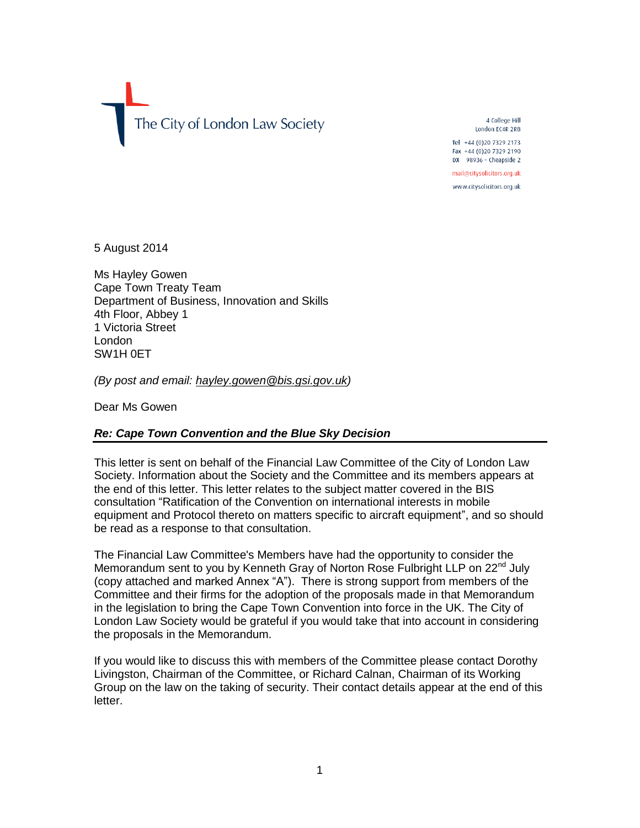The City of London Law Society

4 College Hill London EC4R 2RB Tel +44 (0) 20 7329 2173

Fax +44 (0)20 7329 2190 DX 98936 - Cheapside 2

mail@citysolicitors.org.uk

www.citysolicitors.org.uk

5 August 2014

Ms Hayley Gowen Cape Town Treaty Team Department of Business, Innovation and Skills 4th Floor, Abbey 1 1 Victoria Street London SW1H 0ET

*(By post and email: [hayley.gowen@bis.gsi.gov.uk\)](mailto:hayley.gowen@bis.gsi.gov.uk)*

Dear Ms Gowen

# *Re: Cape Town Convention and the Blue Sky Decision*

This letter is sent on behalf of the Financial Law Committee of the City of London Law Society. Information about the Society and the Committee and its members appears at the end of this letter. This letter relates to the subject matter covered in the BIS consultation "Ratification of the Convention on international interests in mobile equipment and Protocol thereto on matters specific to aircraft equipment", and so should be read as a response to that consultation.

The Financial Law Committee's Members have had the opportunity to consider the Memorandum sent to you by Kenneth Gray of Norton Rose Fulbright LLP on  $22^{nd}$  July (copy attached and marked Annex "A"). There is strong support from members of the Committee and their firms for the adoption of the proposals made in that Memorandum in the legislation to bring the Cape Town Convention into force in the UK. The City of London Law Society would be grateful if you would take that into account in considering the proposals in the Memorandum.

If you would like to discuss this with members of the Committee please contact Dorothy Livingston, Chairman of the Committee, or Richard Calnan, Chairman of its Working Group on the law on the taking of security. Their contact details appear at the end of this letter.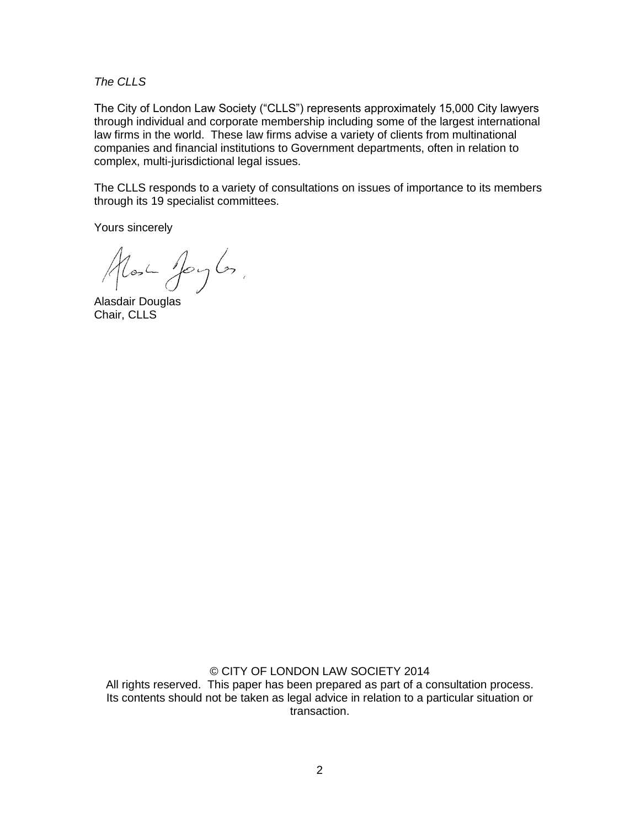*The CLLS*

The City of London Law Society ("CLLS") represents approximately 15,000 City lawyers through individual and corporate membership including some of the largest international law firms in the world. These law firms advise a variety of clients from multinational companies and financial institutions to Government departments, often in relation to complex, multi-jurisdictional legal issues.

The CLLS responds to a variety of consultations on issues of importance to its members through its 19 specialist committees.

Yours sincerely

Most Joyles,

Alasdair Douglas Chair, CLLS

© CITY OF LONDON LAW SOCIETY 2014

All rights reserved. This paper has been prepared as part of a consultation process. Its contents should not be taken as legal advice in relation to a particular situation or transaction.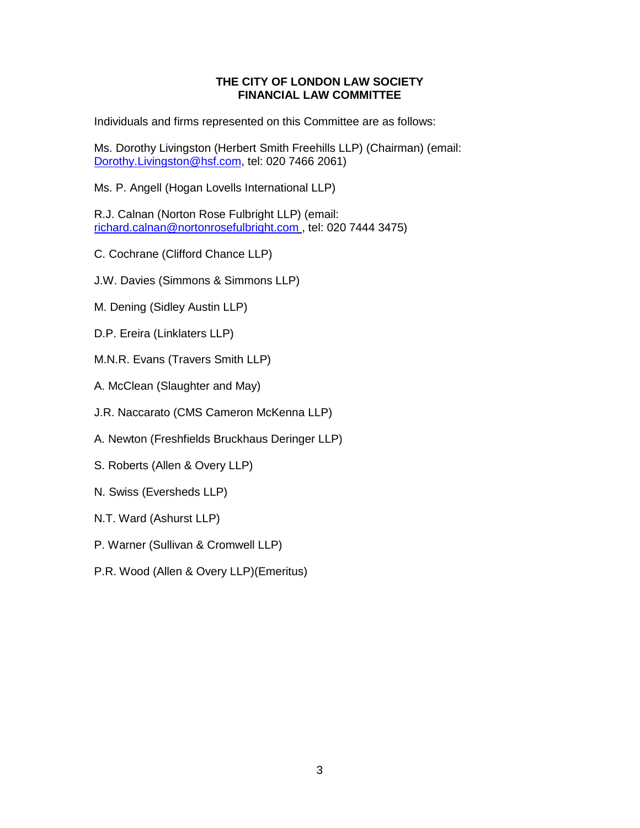# **THE CITY OF LONDON LAW SOCIETY FINANCIAL LAW COMMITTEE**

Individuals and firms represented on this Committee are as follows:

Ms. Dorothy Livingston (Herbert Smith Freehills LLP) (Chairman) (email: [Dorothy.Livingston@hsf.com,](mailto:Dorothy.Livingston@hsf.com) tel: 020 7466 2061)

Ms. P. Angell (Hogan Lovells International LLP)

R.J. Calnan (Norton Rose Fulbright LLP) (email: [richard.calnan@nortonrosefulbright.com](mailto:richard.calnan@nortonrosefulbright.com) , tel: 020 7444 3475)

- C. Cochrane (Clifford Chance LLP)
- J.W. Davies (Simmons & Simmons LLP)
- M. Dening (Sidley Austin LLP)
- D.P. Ereira (Linklaters LLP)
- M.N.R. Evans (Travers Smith LLP)
- A. McClean (Slaughter and May)
- J.R. Naccarato (CMS Cameron McKenna LLP)
- A. Newton (Freshfields Bruckhaus Deringer LLP)
- S. Roberts (Allen & Overy LLP)
- N. Swiss (Eversheds LLP)
- N.T. Ward (Ashurst LLP)
- P. Warner (Sullivan & Cromwell LLP)
- P.R. Wood (Allen & Overy LLP)(Emeritus)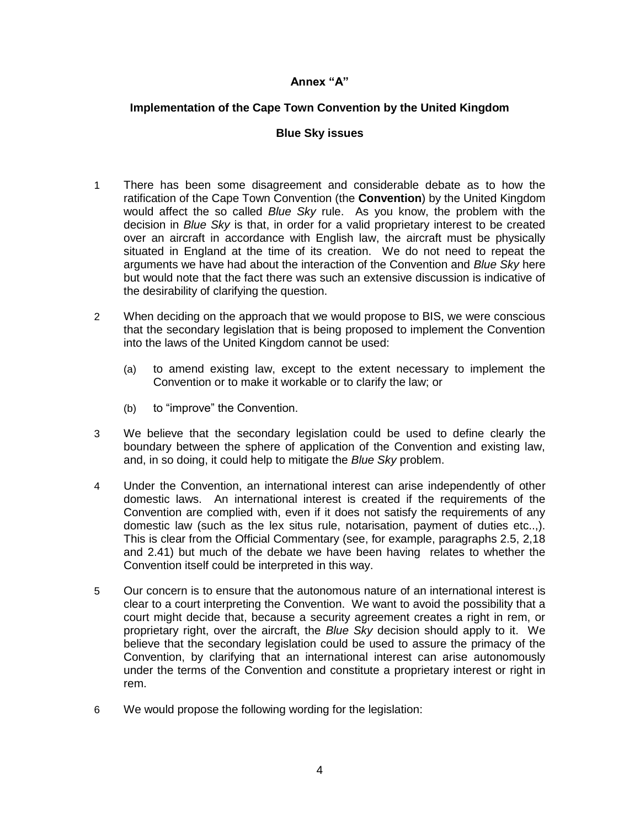#### **Annex "A"**

# **Implementation of the Cape Town Convention by the United Kingdom**

#### **Blue Sky issues**

- 1 There has been some disagreement and considerable debate as to how the ratification of the Cape Town Convention (the **Convention**) by the United Kingdom would affect the so called *Blue Sky* rule. As you know, the problem with the decision in *Blue Sky* is that, in order for a valid proprietary interest to be created over an aircraft in accordance with English law, the aircraft must be physically situated in England at the time of its creation. We do not need to repeat the arguments we have had about the interaction of the Convention and *Blue Sky* here but would note that the fact there was such an extensive discussion is indicative of the desirability of clarifying the question.
- 2 When deciding on the approach that we would propose to BIS, we were conscious that the secondary legislation that is being proposed to implement the Convention into the laws of the United Kingdom cannot be used:
	- (a) to amend existing law, except to the extent necessary to implement the Convention or to make it workable or to clarify the law; or
	- (b) to "improve" the Convention.
- 3 We believe that the secondary legislation could be used to define clearly the boundary between the sphere of application of the Convention and existing law, and, in so doing, it could help to mitigate the *Blue Sky* problem.
- 4 Under the Convention, an international interest can arise independently of other domestic laws. An international interest is created if the requirements of the Convention are complied with, even if it does not satisfy the requirements of any domestic law (such as the lex situs rule, notarisation, payment of duties etc..,). This is clear from the Official Commentary (see, for example, paragraphs 2.5, 2,18 and 2.41) but much of the debate we have been having relates to whether the Convention itself could be interpreted in this way.
- 5 Our concern is to ensure that the autonomous nature of an international interest is clear to a court interpreting the Convention. We want to avoid the possibility that a court might decide that, because a security agreement creates a right in rem, or proprietary right, over the aircraft, the *Blue Sky* decision should apply to it. We believe that the secondary legislation could be used to assure the primacy of the Convention, by clarifying that an international interest can arise autonomously under the terms of the Convention and constitute a proprietary interest or right in rem.
- 6 We would propose the following wording for the legislation: